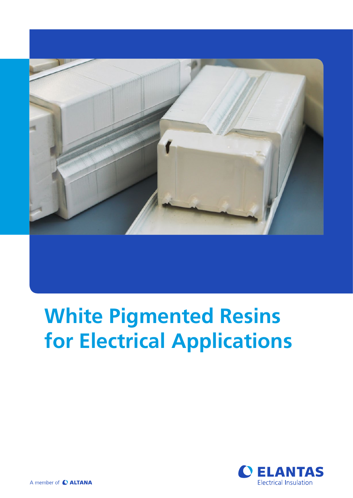

# **White Pigmented Resins for Electrical Applications**

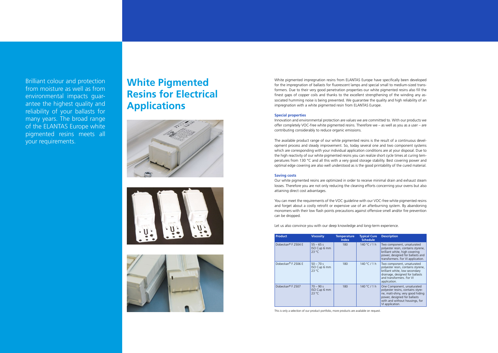White pigmented impregnation resins from ELANTAS Europe have specifically been developed for the impregnation of ballasts for fluorescent lamps and special small to medium-sized transformers. Due to their very good penetration properties our white pigmented resins also fill the finest gaps of copper coils and thanks to the excellent strengthening of the winding any associated humming noise is being prevented. We guarantee the quality and high reliability of an impregnation with a white pigmented resin from ELANTAS Europe.

### **Special properties**

Innovation and environmental protection are values we are committed to. With our products we offer completely VOC-free white pigmented resins. Therefore we – as well as you as a user – are contributing considerably to reduce organic emissions.

The available product range of our white pigmented resins is the result of a continuous development process and steady improvement. So, today several one and two component systems which are corresponding with your individual application conditions are at your disposal. Due to the high reactivity of our white pigmented resins you can realize short cycle times at curing temperatures from 130 °C and all this with a very good storage stability. Best covering power and optimal edge covering are also well understood as is the good printability of the cured material.

### **Saving costs**

Our white pigmented resins are optimized in order to receive minimal drain and exhaust steam losses. Therefore you are not only reducing the cleaning efforts concerning your ovens but also attaining direct cost advantages.

You can meet the requirements of the VOC guideline with our VOC-free white pigmented resins and forget about a costly retrofit or expensive use of an afterburning system. By abandoning monomers with their low flash points precautions against offensive smell and/or fire prevention can be dropped.

Let us also convince you with our deep knowledge and long-term experience.

| <b>Product</b>               | <b>Viscosity</b>                              | <b>Temperature</b><br><b>Index</b> | <b>Typical Cure</b><br><b>Schedule</b> | <b>Description</b>                                                                                                                                                                       |
|------------------------------|-----------------------------------------------|------------------------------------|----------------------------------------|------------------------------------------------------------------------------------------------------------------------------------------------------------------------------------------|
| Dobeckan® F 2504 E           | $55 - 65s$<br>ISO Cup 6 mm<br>$23^{\circ}$ C  | 180                                | 140 °C / 1 h                           | Two component, unsaturated<br>polyester resin, contains styrene,<br>brilliant white, high covering<br>power, designed for ballasts and<br>transformers. For VI application.              |
| Dobeckan® F 2506 E           | $50 - 70s$<br>ISO Cup 6 mm<br>$23^{\circ}$ C  | 180                                | 140 °C / 1 h                           | Two component, unsaturated<br>polyester resin, contains styrene,<br>brilliant white, low secondary<br>drainage, designed for ballasts<br>and transformers. For VI<br>application.        |
| Dobeckan <sup>®</sup> F 2507 | $70 - 90 s$<br>ISO Cup 6 mm<br>$23^{\circ}$ C | 180                                | 140 °C / 1 h                           | One Component, unsaturated<br>polyester resins, contains styre-<br>ne, matt-shiny, very good hiding<br>power, designed for ballasts<br>with and without housings, for<br>VI application. |

This is only a selection of our product portfolio, more products are available on request.

Brilliant colour and protection from moisture as well as from environmental impacts guarantee the highest quality and reliability of your ballasts for many years. The broad range of the ELANTAS Europe white pigmented resins meets all your requirements.

# **White Pigmented Resins for Electrical Applications**